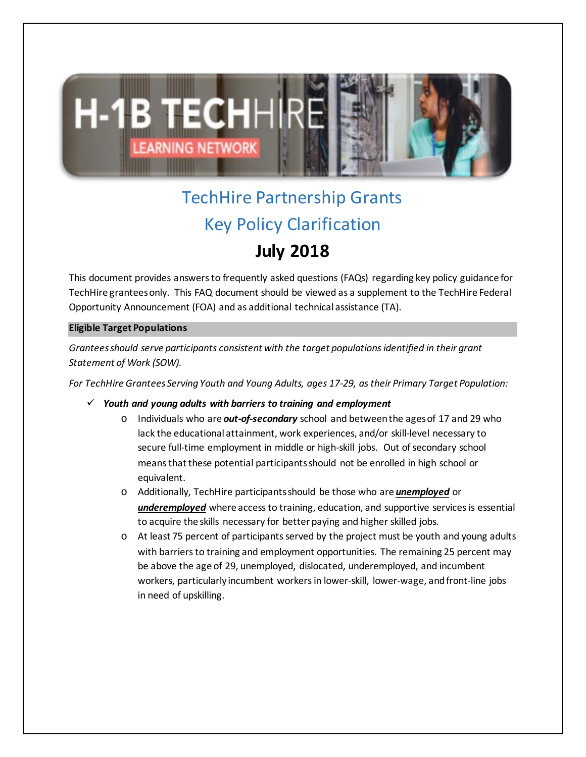

# TechHire Partnership Grants Key Policy Clarification **July 2018**

This document provides answers to frequently asked questions (FAQs) regarding key policy guidance for TechHire granteesonly. This FAQ document should be viewed as a supplement to the TechHire Federal Opportunity Announcement (FOA) and as additional technical assistance (TA).

## **Eligible Target Populations**

*Grantees should serve participants consistent with the target populations identified in their grant Statement of Work (SOW).* 

*For TechHire Grantees Serving Youth and Young Adults, ages 17-29, as their Primary Target Population:* 

## *Youth and young adults with barriers to training and employment*

- o Individuals who are *out-of-secondary* school and between the ages of 17 and 29 who lack the educational attainment, work experiences, and/or skill-level necessary to secure full-time employment in middle or high-skill jobs. Out of secondary school means that these potential participants should not be enrolled in high school or equivalent.
- o Additionally, TechHire participantsshould be those who are *unemployed* or *underemployed* where access to training, education, and supportive services is essential to acquire the skills necessary for better paying and higher skilled jobs.
- o At least 75 percent of participants served by the project must be youth and young adults with barriers to training and employment opportunities. The remaining 25 percent may be above the age of 29, unemployed, dislocated, underemployed, and incumbent workers, particularly incumbent workers in lower-skill, lower-wage, and front-line jobs in need of upskilling.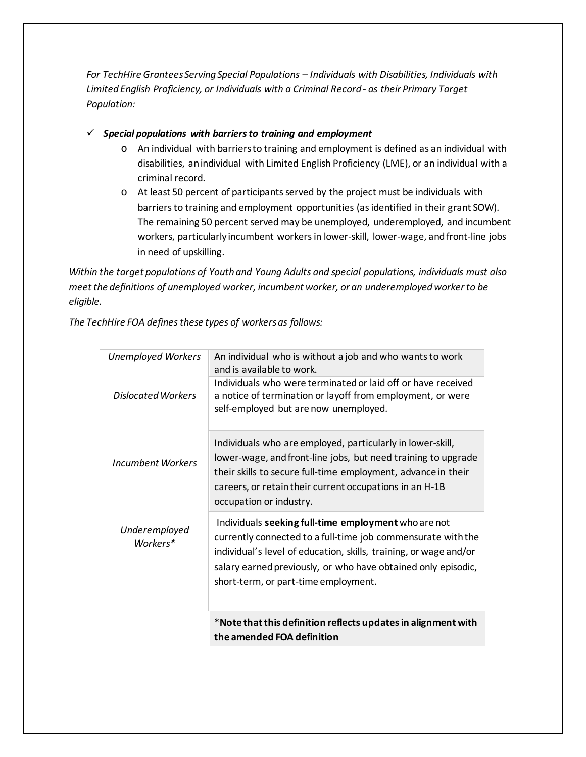*For TechHire Grantees Serving Special Populations – Individuals with Disabilities, Individuals with Limited English Proficiency, or Individuals with a Criminal Record - as their Primary Target Population:*

 $\checkmark$  Special populations with barriers to training and employment

- o An individual with barriers to training and employment is defined as an individual with disabilities, anindividual with Limited English Proficiency (LME), or an individual with a criminal record.
- o At least 50 percent of participants served by the project must be individuals with barriers to training and employment opportunities (as identified in their grant SOW). The remaining 50 percent served may be unemployed, underemployed, and incumbent workers, particularly incumbent workers in lower-skill, lower-wage, and front-line jobs in need of upskilling.

*Within the target populations of Youth and Young Adults and special populations, individuals must also meet the definitions of unemployed worker, incumbent worker, or an underemployed workerto be eligible.* 

*The TechHire FOA defines these types of workers as follows:* 

| <b>Unemployed Workers</b> | An individual who is without a job and who wants to work<br>and is available to work.                                                                                                                                                                                                              |
|---------------------------|----------------------------------------------------------------------------------------------------------------------------------------------------------------------------------------------------------------------------------------------------------------------------------------------------|
| Dislocated Workers        | Individuals who were terminated or laid off or have received<br>a notice of termination or layoff from employment, or were<br>self-employed but are now unemployed.                                                                                                                                |
| Incumbent Workers         | Individuals who are employed, particularly in lower-skill,<br>lower-wage, and front-line jobs, but need training to upgrade<br>their skills to secure full-time employment, advance in their<br>careers, or retain their current occupations in an H-1B<br>occupation or industry.                 |
| Underemployed<br>Workers* | Individuals seeking full-time employment who are not<br>currently connected to a full-time job commensurate with the<br>individual's level of education, skills, training, or wage and/or<br>salary earned previously, or who have obtained only episodic,<br>short-term, or part-time employment. |
|                           | *Note that this definition reflects updates in alignment with<br>the amended FOA definition                                                                                                                                                                                                        |
|                           |                                                                                                                                                                                                                                                                                                    |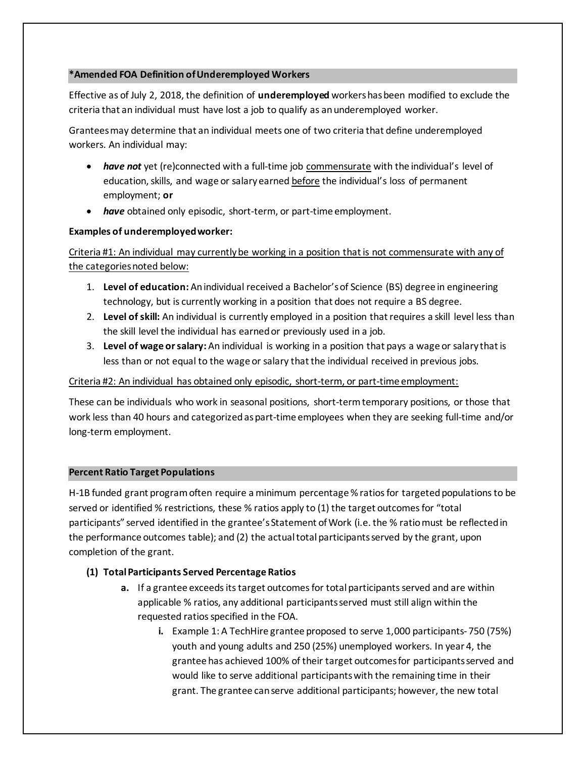## **\*Amended FOA Definition of Underemployed Workers**

Effective as of July 2, 2018, the definition of **underemployed** workers has been modified to exclude the criteria that an individual must have lost a job to qualify as an underemployed worker.

Grantees may determine that an individual meets one of two criteria that define underemployed workers. An individual may:

- **have not** yet (re)connected with a full-time job commensurate with the individual's level of education, skills, and wage or salary earned before the individual's loss of permanent employment; **or**
- *have* obtained only episodic, short-term, or part-time employment.

## **Examples of underemployed worker:**

Criteria #1: An individual may currently be working in a position that is not commensurate with any of the categories noted below:

- 1. **Level of education:** An individual received a Bachelor's of Science (BS) degree in engineering technology, but is currently working in a position that does not require a BS degree.
- 2. **Level of skill:** An individual is currently employed in a position that requires a skill level less than the skill level the individual has earned or previously used in a job.
- 3. **Level of wage or salary:** An individual is working in a position that pays a wage or salary that is less than or not equal to the wage or salary that the individual received in previous jobs.

## Criteria #2: An individual has obtained only episodic, short-term, or part-time employment:

These can be individuals who work in seasonal positions, short-term temporary positions, or those that work less than 40 hours and categorized as part-time employees when they are seeking full-time and/or long-term employment.

## **Percent Ratio Target Populations**

H-1B funded grant program often require a minimum percentage % ratios for targeted populations to be served or identified % restrictions, these % ratios apply to (1) the target outcomes for "total participants" served identified in the grantee's Statement of Work (i.e. the % ratio must be reflected in the performance outcomes table); and (2) the actual total participants served by the grant, upon completion of the grant.

## **(1) Total Participants Served Percentage Ratios**

- **a.** If a grantee exceeds its target outcomes for total participants served and are within applicable % ratios, any additional participants served must still align within the requested ratios specified in the FOA.
	- **i.** Example 1: A TechHire grantee proposed to serve 1,000 participants- 750 (75%) youth and young adults and 250 (25%) unemployed workers. In year 4, the grantee has achieved 100% of their target outcomes for participants served and would like to serve additional participants with the remaining time in their grant. The grantee can serve additional participants; however, the new total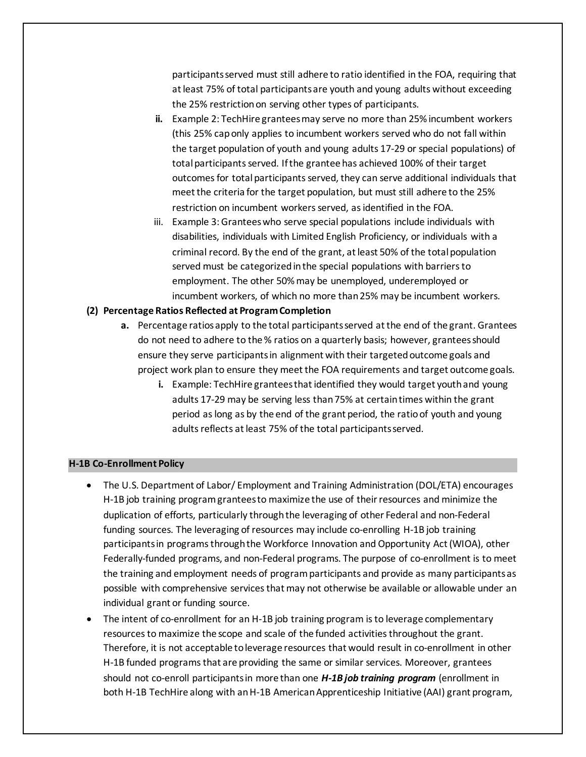participants served must still adhere to ratio identified in the FOA, requiring that at least 75% of total participants are youth and young adults without exceeding the 25% restriction on serving other types of participants.

- **ii.** Example 2: TechHire grantees may serve no more than 25% incumbent workers (this 25% cap only applies to incumbent workers served who do not fall within the target population of youth and young adults 17-29 or special populations) of total participants served. If the grantee has achieved 100% of their target outcomes for total participants served, they can serve additional individuals that meet the criteria for the target population, but must still adhere to the 25% restriction on incumbent workers served, as identified in the FOA.
- iii. Example 3: Grantees who serve special populations include individuals with disabilities, individuals with Limited English Proficiency, or individuals with a criminal record. By the end of the grant, at least 50% of the total population served must be categorized in the special populations with barriers to employment. The other 50% may be unemployed, underemployed or incumbent workers, of which no more than 25% may be incumbent workers.

## **(2) Percentage Ratios Reflected at Program Completion**

- **a.** Percentage ratios apply to the total participants served at the end of the grant. Grantees do not need to adhere to the % ratios on a quarterly basis; however, grantees should ensure they serve participants in alignment with their targeted outcome goals and project work plan to ensure they meet the FOA requirements and target outcome goals.
	- **i.** Example: TechHire grantees that identified they would target youth and young adults 17-29 may be serving less than 75% at certain times within the grant period as long as by the end of the grant period, the ratio of youth and young adults reflects at least 75% of the total participants served.

## **H-1B Co-Enrollment Policy**

- The U.S. Department of Labor/ Employment and Training Administration (DOL/ETA) encourages H-1B job training program grantees to maximize the use of their resources and minimize the duplication of efforts, particularly through the leveraging of other Federal and non-Federal funding sources. The leveraging of resources may include co-enrolling H-1B job training participants in programs through the Workforce Innovation and Opportunity Act (WIOA), other Federally-funded programs, and non-Federal programs. The purpose of co-enrollment is to meet the training and employment needs of program participants and provide as many participants as possible with comprehensive services that may not otherwise be available or allowable under an individual grant or funding source.
- The intent of co-enrollment for an H-1B job training program is to leverage complementary resources to maximize the scope and scale of the funded activities throughout the grant. Therefore, it is not acceptable to leverage resources that would result in co-enrollment in other H-1B funded programs that are providing the same or similar services. Moreover, grantees should not co-enroll participants in more than one *H-1B job training program* (enrollment in both H-1B TechHire along with an H-1B American Apprenticeship Initiative (AAI) grant program,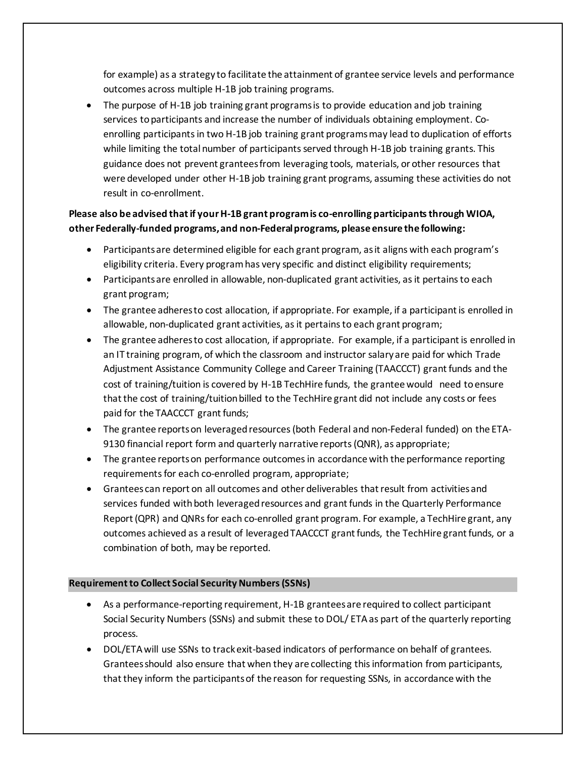for example) as a strategy to facilitate the attainment of grantee service levels and performance outcomes across multiple H-1B job training programs.

• The purpose of H-1B job training grant programs is to provide education and job training services to participants and increase the number of individuals obtaining employment. Coenrolling participants in two H-1B job training grant programs may lead to duplication of efforts while limiting the total number of participants served through H-1B job training grants. This guidance does not prevent grantees from leveraging tools, materials, or other resources that were developed under other H-1B job training grant programs, assuming these activities do not result in co-enrollment.

## **Please also be advised that if your H-1B grant program is co-enrolling participants through WIOA, other Federally-funded programs, and non-Federal programs, please ensure the following:**

- Participants are determined eligible for each grant program, as it aligns with each program's eligibility criteria. Every program has very specific and distinct eligibility requirements;
- Participants are enrolled in allowable, non-duplicated grant activities, as it pertains to each grant program;
- The grantee adheres to cost allocation, if appropriate. For example, if a participant is enrolled in allowable, non-duplicated grant activities, as it pertains to each grant program;
- The grantee adheres to cost allocation, if appropriate. For example, if a participant is enrolled in an IT training program, of which the classroom and instructor salary are paid for which Trade Adjustment Assistance Community College and Career Training (TAACCCT) grant funds and the cost of training/tuition is covered by H-1B TechHire funds, the grantee would need to ensure that the cost of training/tuition billed to the TechHire grant did not include any costs or fees paid for the TAACCCT grant funds;
- The grantee reports on leveraged resources (both Federal and non-Federal funded) on the ETA-9130 financial report form and quarterly narrative reports (QNR), as appropriate;
- The grantee reports on performance outcomes in accordance with the performance reporting requirements for each co-enrolled program, appropriate;
- Grantees can report on all outcomes and other deliverables that result from activities and services funded with both leveraged resources and grant funds in the Quarterly Performance Report (QPR) and QNRs for each co-enrolled grant program. For example, a TechHire grant, any outcomes achieved as a result of leveraged TAACCCT grant funds, the TechHire grant funds, or a combination of both, may be reported.

## **Requirement to Collect Social Security Numbers (SSNs)**

- As a performance-reporting requirement, H-1B grantees are required to collect participant Social Security Numbers (SSNs) and submit these to DOL/ ETA as part of the quarterly reporting process.
- DOL/ETA will use SSNs to track exit-based indicators of performance on behalf of grantees. Grantees should also ensure that when they are collecting this information from participants, that they inform the participants of the reason for requesting SSNs, in accordance with the